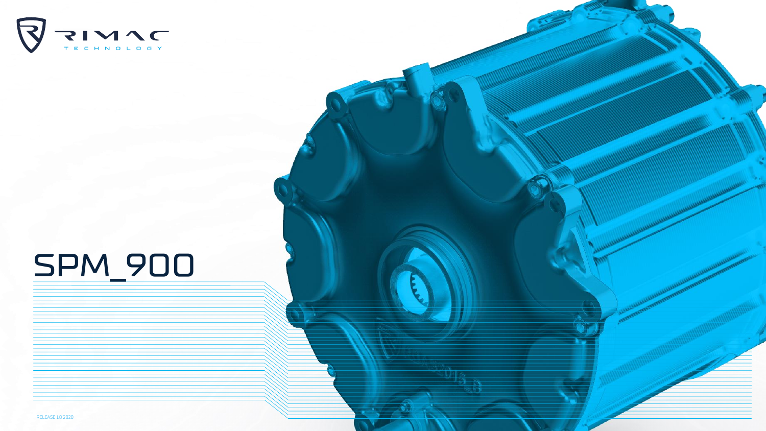

## SPM\_900

RELEASE 1.0 2020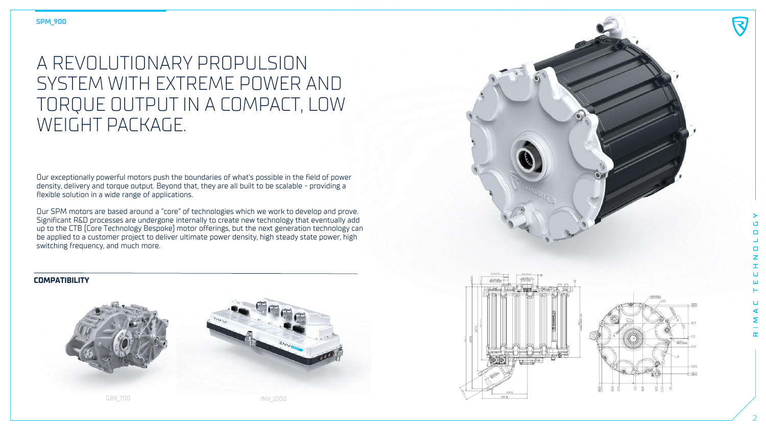## A REVOLUTIONARY PROPULSION SYSTEM WITH EXTREME POWER AND TORQUE OUTPUT IN A COMPACT, LOW WEIGHT PACKAGE.

Our exceptionally powerful motors push the boundaries of what's possible in the field of power density, delivery and torque output. Beyond that, they are all built to be scalable - providing a flexible solution in a wide range of applications.

Our SPM motors are based around a "core" of technologies which we work to develop and prove. Significant R&D processes are undergone internally to create new technology that eventually add up to the CTB (Core Technology Bespoke) motor offerings, but the next generation technology can be applied to a customer project to deliver ultimate power density, high steady state power, high switching frequency, and much more.

## **COMPATIBILITY**



GBX\_700 INV\_1000







マ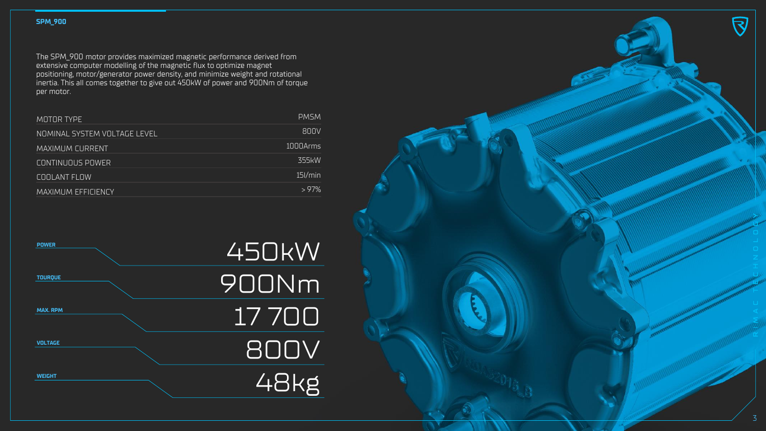The SPM\_900 motor provides maximized magnetic performance derived from extensive computer modelling of the magnetic flux to optimize magnet positioning, motor/generator power density, and minimize weight and rotational inertia. This all comes together to give out 450kW of power and 900Nm of torque per motor.

| MOTOR TYPE                   | <b>PMSM</b> |
|------------------------------|-------------|
| NOMINAL SYSTEM VOLTAGE LEVEL | 800V        |
| <b>MAXIMUM CURRENT</b>       | 1000Arms    |
| <b>CONTINUOUS POWER</b>      | 355kW       |
| COOLANT FLOW                 | $15$ I/min  |
| MAXIMUM EFFICIENCY           | >97%        |